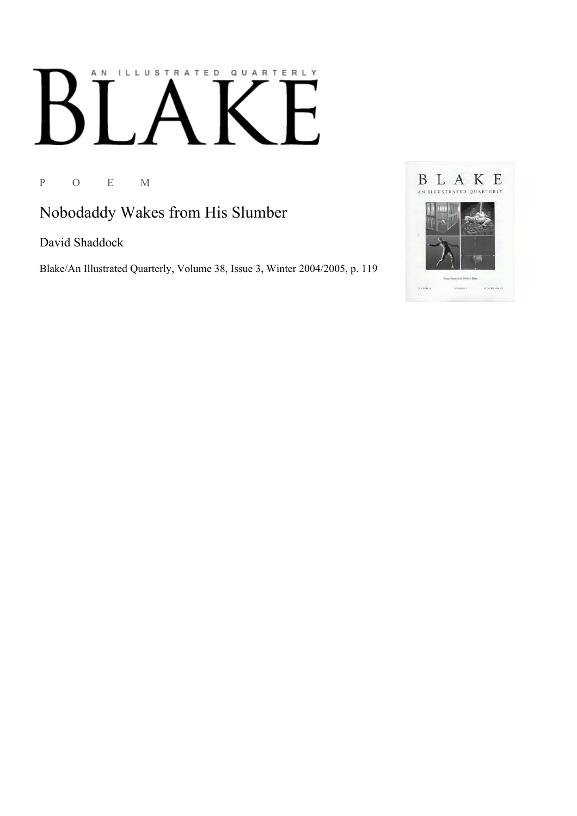## AN ILLUSTRATED QUARTERLY

P O E M

Nobodaddy Wakes from His Slumber

David Shaddock

Blake/An Illustrated Quarterly, Volume 38, Issue 3, Winter 2004/2005, p. 119